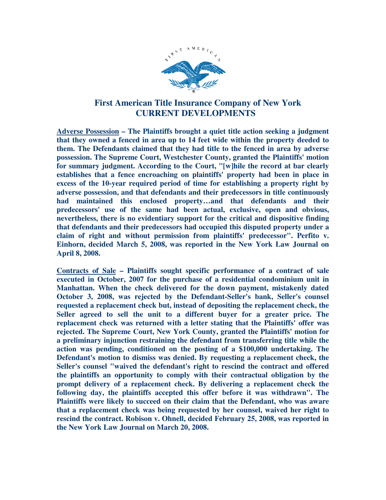

## **First American Title Insurance Company of New York CURRENT DEVELOPMENTS**

**Adverse Possession – The Plaintiffs brought a quiet title action seeking a judgment that they owned a fenced in area up to 14 feet wide within the property deeded to them. The Defendants claimed that they had title to the fenced in area by adverse possession. The Supreme Court, Westchester County, granted the Plaintiffs' motion for summary judgment. According to the Court, "[w]hile the record at bar clearly establishes that a fence encroaching on plaintiffs' property had been in place in excess of the 10-year required period of time for establishing a property right by adverse possession, and that defendants and their predecessors in title continuously had maintained this enclosed property…and that defendants and their predecessors' use of the same had been actual, exclusive, open and obvious, nevertheless, there is no evidentiary support for the critical and dispositive finding that defendants and their predecessors had occupied this disputed property under a claim of right and without permission from plaintiffs' predecessor". Perfito v. Einhorn, decided March 5, 2008, was reported in the New York Law Journal on April 8, 2008.** 

**Contracts of Sale – Plaintiffs sought specific performance of a contract of sale executed in October, 2007 for the purchase of a residential condominium unit in Manhattan. When the check delivered for the down payment, mistakenly dated October 3, 2008, was rejected by the Defendant-Seller's bank, Seller's counsel requested a replacement check but, instead of depositing the replacement check, the Seller agreed to sell the unit to a different buyer for a greater price. The replacement check was returned with a letter stating that the Plaintiffs' offer was rejected. The Supreme Court, New York County, granted the Plaintiffs' motion for a preliminary injunction restraining the defendant from transferring title while the action was pending, conditioned on the posting of a \$100,000 undertaking. The Defendant's motion to dismiss was denied. By requesting a replacement check, the Seller's counsel "waived the defendant's right to rescind the contract and offered the plaintiffs an opportunity to comply with their contractual obligation by the prompt delivery of a replacement check. By delivering a replacement check the following day, the plaintiffs accepted this offer before it was withdrawn". The Plaintiffs were likely to succeed on their claim that the Defendant, who was aware that a replacement check was being requested by her counsel, waived her right to rescind the contract. Robison v. Ohnell, decided February 25, 2008, was reported in the New York Law Journal on March 20, 2008.**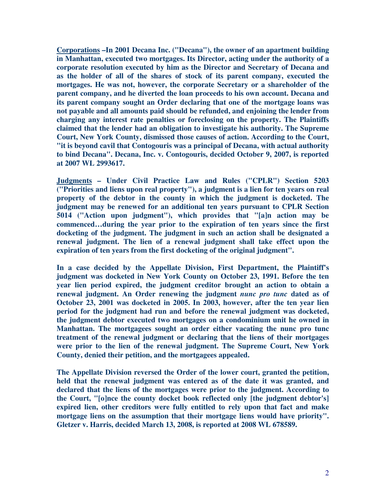**Corporations –In 2001 Decana Inc. ("Decana"), the owner of an apartment building in Manhattan, executed two mortgages. Its Director, acting under the authority of a corporate resolution executed by him as the Director and Secretary of Decana and as the holder of all of the shares of stock of its parent company, executed the mortgages. He was not, however, the corporate Secretary or a shareholder of the parent company, and he diverted the loan proceeds to his own account. Decana and its parent company sought an Order declaring that one of the mortgage loans was not payable and all amounts paid should be refunded, and enjoining the lender from charging any interest rate penalties or foreclosing on the property. The Plaintiffs claimed that the lender had an obligation to investigate his authority. The Supreme Court, New York County, dismissed those causes of action. According to the Court, "it is beyond cavil that Contogouris was a principal of Decana, with actual authority to bind Decana". Decana, Inc. v. Contogouris, decided October 9, 2007, is reported at 2007 WL 2993617.** 

**Judgments – Under Civil Practice Law and Rules ("CPLR") Section 5203 ("Priorities and liens upon real property"), a judgment is a lien for ten years on real property of the debtor in the county in which the judgment is docketed. The judgment may be renewed for an additional ten years pursuant to CPLR Section 5014 ("Action upon judgment"), which provides that "[a]n action may be commenced…during the year prior to the expiration of ten years since the first docketing of the judgment. The judgment in such an action shall be designated a renewal judgment. The lien of a renewal judgment shall take effect upon the expiration of ten years from the first docketing of the original judgment".** 

**In a case decided by the Appellate Division, First Department, the Plaintiff's judgment was docketed in New York County on October 23, 1991. Before the ten year lien period expired, the judgment creditor brought an action to obtain a renewal judgment. An Order renewing the judgment** *nunc pro tunc* **dated as of October 23, 2001 was docketed in 2005. In 2003, however, after the ten year lien period for the judgment had run and before the renewal judgment was docketed, the judgment debtor executed two mortgages on a condominium unit he owned in Manhattan. The mortgagees sought an order either vacating the nunc pro tunc treatment of the renewal judgment or declaring that the liens of their mortgages were prior to the lien of the renewal judgment. The Supreme Court, New York County, denied their petition, and the mortgagees appealed.** 

**The Appellate Division reversed the Order of the lower court, granted the petition, held that the renewal judgment was entered as of the date it was granted, and declared that the liens of the mortgages were prior to the judgment. According to the Court, "[o]nce the county docket book reflected only [the judgment debtor's] expired lien, other creditors were fully entitled to rely upon that fact and make mortgage liens on the assumption that their mortgage liens would have priority". Gletzer v. Harris, decided March 13, 2008, is reported at 2008 WL 678589.**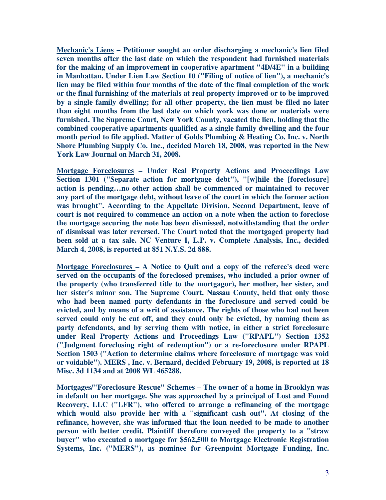**Mechanic's Liens – Petitioner sought an order discharging a mechanic's lien filed seven months after the last date on which the respondent had furnished materials for the making of an improvement in cooperative apartment "4D/4E" in a building in Manhattan. Under Lien Law Section 10 ("Filing of notice of lien"), a mechanic's lien may be filed within four months of the date of the final completion of the work or the final furnishing of the materials at real property improved or to be improved by a single family dwelling; for all other property, the lien must be filed no later than eight months from the last date on which work was done or materials were furnished. The Supreme Court, New York County, vacated the lien, holding that the combined cooperative apartments qualified as a single family dwelling and the four month period to file applied. Matter of Golds Plumbing & Heating Co. Inc. v. North Shore Plumbing Supply Co. Inc., decided March 18, 2008, was reported in the New York Law Journal on March 31, 2008.** 

**Mortgage Foreclosures – Under Real Property Actions and Proceedings Law Section 1301 ("Separate action for mortgage debt"), "[w]hile the [foreclosure] action is pending…no other action shall be commenced or maintained to recover any part of the mortgage debt, without leave of the court in which the former action was brought". According to the Appellate Division, Second Department, leave of court is not required to commence an action on a note when the action to foreclose the mortgage securing the note has been dismissed, notwithstanding that the order of dismissal was later reversed. The Court noted that the mortgaged property had been sold at a tax sale. NC Venture I, L.P. v. Complete Analysis, Inc., decided March 4, 2008, is reported at 851 N.Y.S. 2d 888.** 

**Mortgage Foreclosures – A Notice to Quit and a copy of the referee's deed were served on the occupants of the foreclosed premises, who included a prior owner of the property (who transferred title to the mortgagor), her mother, her sister, and her sister's minor son. The Supreme Court, Nassau County, held that only those who had been named party defendants in the foreclosure and served could be evicted, and by means of a writ of assistance. The rights of those who had not been served could only be cut off, and they could only be evicted, by naming them as party defendants, and by serving them with notice, in either a strict foreclosure under Real Property Actions and Proceedings Law ("RPAPL") Section 1352 ("Judgment foreclosing right of redemption") or a re-foreclosure under RPAPL Section 1503 ("Action to determine claims where foreclosure of mortgage was void or voidable"). MERS , Inc. v. Bernard, decided February 19, 2008, is reported at 18 Misc. 3d 1134 and at 2008 WL 465288.** 

**Mortgages/"Foreclosure Rescue" Schemes – The owner of a home in Brooklyn was in default on her mortgage. She was approached by a principal of Lost and Found Recovery, LLC ("LFR"), who offered to arrange a refinancing of the mortgage which would also provide her with a "significant cash out". At closing of the refinance, however, she was informed that the loan needed to be made to another person with better credit. Plaintiff therefore conveyed the property to a "straw buyer" who executed a mortgage for \$562,500 to Mortgage Electronic Registration Systems, Inc. ("MERS"), as nominee for Greenpoint Mortgage Funding, Inc.**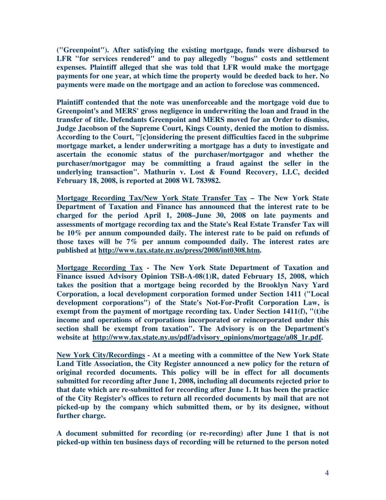**("Greenpoint"). After satisfying the existing mortgage, funds were disbursed to LFR "for services rendered" and to pay allegedly "bogus" costs and settlement expenses. Plaintiff alleged that she was told that LFR would make the mortgage payments for one year, at which time the property would be deeded back to her. No payments were made on the mortgage and an action to foreclose was commenced.** 

**Plaintiff contended that the note was unenforceable and the mortgage void due to Greenpoint's and MERS' gross negligence in underwriting the loan and fraud in the transfer of title. Defendants Greenpoint and MERS moved for an Order to dismiss, Judge Jacobson of the Supreme Court, Kings County, denied the motion to dismiss. According to the Court, "[c]onsidering the present difficulties faced in the subprime mortgage market, a lender underwriting a mortgage has a duty to investigate and ascertain the economic status of the purchaser/mortgagor and whether the purchaser/mortgagor may be committing a fraud against the seller in the underlying transaction". Mathurin v. Lost & Found Recovery, LLC, decided February 18, 2008, is reported at 2008 WL 783982.** 

**Mortgage Recording Tax/New York State Transfer Tax – The New York State Department of Taxation and Finance has announced that the interest rate to be charged for the period April 1, 2008–June 30, 2008 on late payments and assessments of mortgage recording tax and the State's Real Estate Transfer Tax will be 10% per annum compounded daily. The interest rate to be paid on refunds of those taxes will be 7% per annum compounded daily. The interest rates are published at http://www.tax.state.ny.us/press/2008/int0308.htm.** 

**Mortgage Recording Tax - The New York State Department of Taxation and Finance issued Advisory Opinion TSB-A-08(1)R, dated February 15, 2008, which takes the position that a mortgage being recorded by the Brooklyn Navy Yard Corporation, a local development corporation formed under Section 1411 ("Local development corporations") of the State's Not-For-Profit Corporation Law, is exempt from the payment of mortgage recording tax. Under Section 1411(f), "(t)he income and operations of corporations incorporated or reincorporated under this section shall be exempt from taxation". The Advisory is on the Department's website at http://www.tax.state.ny.us/pdf/advisory\_opinions/mortgage/a08\_1r.pdf.** 

**New York City/Recordings - At a meeting with a committee of the New York State Land Title Association, the City Register announced a new policy for the return of original recorded documents. This policy will be in effect for all documents submitted for recording after June 1, 2008, including all documents rejected prior to that date which are re-submitted for recording after June 1. It has been the practice of the City Register's offices to return all recorded documents by mail that are not picked-up by the company which submitted them, or by its designee, without further charge.** 

**A document submitted for recording (or re-recording) after June 1 that is not picked-up within ten business days of recording will be returned to the person noted**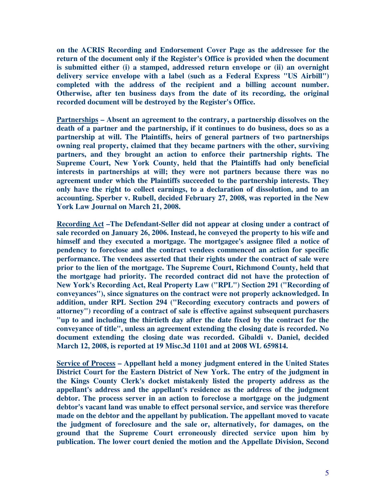**on the ACRIS Recording and Endorsement Cover Page as the addressee for the return of the document only if the Register's Office is provided when the document is submitted either (i) a stamped, addressed return envelope or (ii) an overnight delivery service envelope with a label (such as a Federal Express "US Airbill") completed with the address of the recipient and a billing account number. Otherwise, after ten business days from the date of its recording, the original recorded document will be destroyed by the Register's Office.** 

**Partnerships – Absent an agreement to the contrary, a partnership dissolves on the death of a partner and the partnership, if it continues to do business, does so as a partnership at will. The Plaintiffs, heirs of general partners of two partnerships owning real property, claimed that they became partners with the other, surviving partners, and they brought an action to enforce their partnership rights. The Supreme Court, New York County, held that the Plaintiffs had only beneficial interests in partnerships at will; they were not partners because there was no agreement under which the Plaintiffs succeeded to the partnership interests. They only have the right to collect earnings, to a declaration of dissolution, and to an accounting. Sperber v. Rubell, decided February 27, 2008, was reported in the New York Law Journal on March 21, 2008.** 

**Recording Act –The Defendant-Seller did not appear at closing under a contract of sale recorded on January 26, 2006. Instead, he conveyed the property to his wife and himself and they executed a mortgage. The mortgagee's assignee filed a notice of pendency to foreclose and the contract vendees commenced an action for specific performance. The vendees asserted that their rights under the contract of sale were prior to the lien of the mortgage. The Supreme Court, Richmond County, held that the mortgage had priority. The recorded contract did not have the protection of New York's Recording Act, Real Property Law ("RPL") Section 291 ("Recording of conveyances"), since signatures on the contract were not properly acknowledged. In addition, under RPL Section 294 ("Recording executory contracts and powers of attorney") recording of a contract of sale is effective against subsequent purchasers "up to and including the thirtieth day after the date fixed by the contract for the conveyance of title", unless an agreement extending the closing date is recorded. No document extending the closing date was recorded. Gibaldi v. Daniel, decided March 12, 2008, is reported at 19 Misc.3d 1101 and at 2008 WL 659814.** 

**Service of Process – Appellant held a money judgment entered in the United States District Court for the Eastern District of New York. The entry of the judgment in the Kings County Clerk's docket mistakenly listed the property address as the appellant's address and the appellant's residence as the address of the judgment debtor. The process server in an action to foreclose a mortgage on the judgment debtor's vacant land was unable to effect personal service, and service was therefore made on the debtor and the appellant by publication. The appellant moved to vacate the judgment of foreclosure and the sale or, alternatively, for damages, on the ground that the Supreme Court erroneously directed service upon him by publication. The lower court denied the motion and the Appellate Division, Second**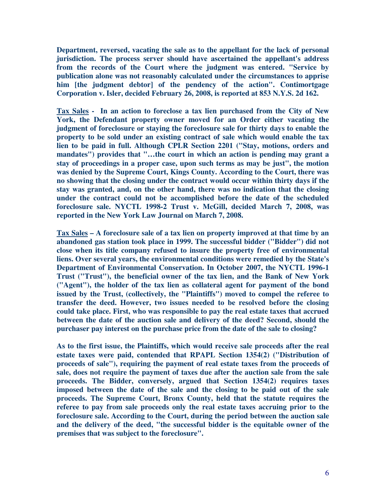**Department, reversed, vacating the sale as to the appellant for the lack of personal jurisdiction. The process server should have ascertained the appellant's address from the records of the Court where the judgment was entered. "Service by publication alone was not reasonably calculated under the circumstances to apprise him [the judgment debtor] of the pendency of the action". Contimortgage Corporation v. Isler, decided February 26, 2008, is reported at 853 N.Y.S. 2d 162.** 

**Tax Sales - In an action to foreclose a tax lien purchased from the City of New York, the Defendant property owner moved for an Order either vacating the judgment of foreclosure or staying the foreclosure sale for thirty days to enable the property to be sold under an existing contract of sale which would enable the tax lien to be paid in full. Although CPLR Section 2201 ("Stay, motions, orders and mandates") provides that "…the court in which an action is pending may grant a stay of proceedings in a proper case, upon such terms as may be just", the motion was denied by the Supreme Court, Kings County. According to the Court, there was no showing that the closing under the contract would occur within thirty days if the stay was granted, and, on the other hand, there was no indication that the closing under the contract could not be accomplished before the date of the scheduled foreclosure sale. NYCTL 1998-2 Trust v. McGill, decided March 7, 2008, was reported in the New York Law Journal on March 7, 2008.** 

**Tax Sales – A foreclosure sale of a tax lien on property improved at that time by an abandoned gas station took place in 1999. The successful bidder ("Bidder") did not close when its title company refused to insure the property free of environmental liens. Over several years, the environmental conditions were remedied by the State's Department of Environmental Conservation. In October 2007, the NYCTL 1996-1 Trust ("Trust"), the beneficial owner of the tax lien, and the Bank of New York ("Agent"), the holder of the tax lien as collateral agent for payment of the bond issued by the Trust, (collectively, the "Plaintiffs") moved to compel the referee to transfer the deed. However, two issues needed to be resolved before the closing could take place. First, who was responsible to pay the real estate taxes that accrued between the date of the auction sale and delivery of the deed? Second, should the purchaser pay interest on the purchase price from the date of the sale to closing?** 

**As to the first issue, the Plaintiffs, which would receive sale proceeds after the real estate taxes were paid, contended that RPAPL Section 1354(2) ("Distribution of proceeds of sale"), requiring the payment of real estate taxes from the proceeds of sale, does not require the payment of taxes due after the auction sale from the sale proceeds. The Bidder, conversely, argued that Section 1354(2) requires taxes imposed between the date of the sale and the closing to be paid out of the sale proceeds. The Supreme Court, Bronx County, held that the statute requires the referee to pay from sale proceeds only the real estate taxes accruing prior to the foreclosure sale. According to the Court, during the period between the auction sale and the delivery of the deed, "the successful bidder is the equitable owner of the premises that was subject to the foreclosure".**